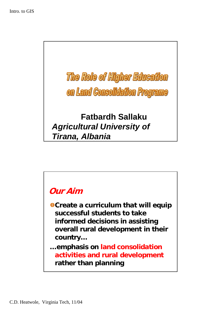

## **Our Aim**

**Create a curriculum that will equip successful students to take informed decisions in assisting overall rural development in their country…**

**…emphasis on land consolidation activities and rural development rather than planning**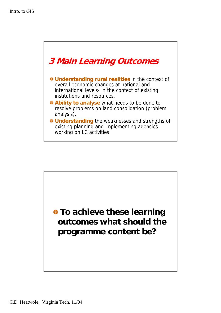

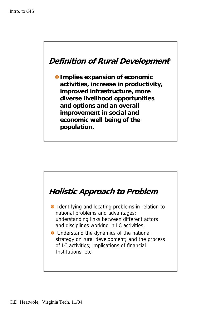

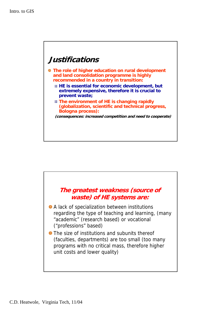## **Justifications**

- **The role of higher education on rural development and land consolidation programme is highly recommended in a country in transition:**
	- **HE is essential for economic development, but extremely expensive, therefore it is crucial to prevent waste;**
	- **The environment of HE is changing rapidly (globalization, scientific and technical progress, Bologna process):**

**(consequences: increased competition and need to cooperate)**

## **The greatest weakness (source of waste) of HE systems are:**

- A lack of specialization between institutions regarding the type of teaching and learning, (many "academic" (research based) or vocational ("professions" based)
- $\bullet$  The size of institutions and subunits thereof (faculties, departments) are too small (too many programs with no critical mass, therefore higher unit costs and lower quality)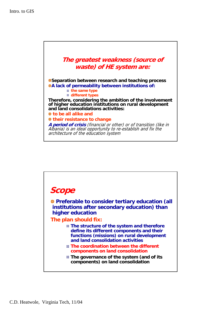

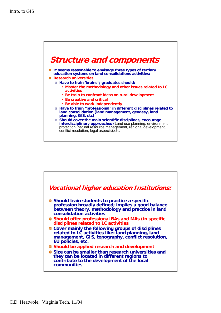

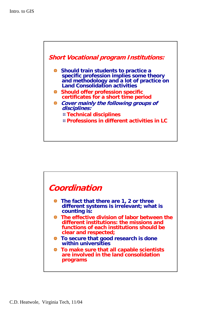